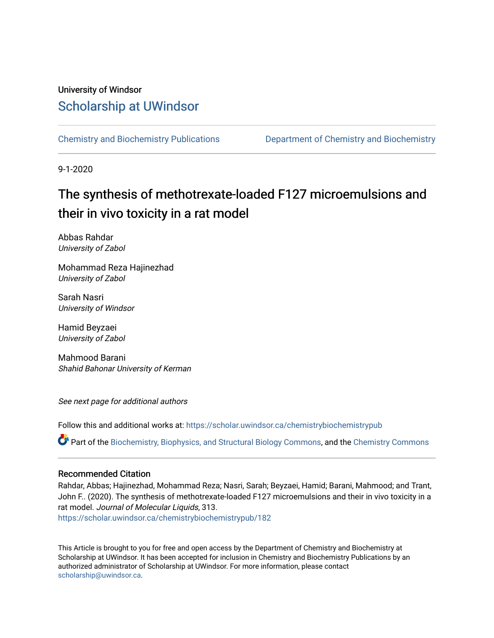# University of Windsor [Scholarship at UWindsor](https://scholar.uwindsor.ca/)

[Chemistry and Biochemistry Publications](https://scholar.uwindsor.ca/chemistrybiochemistrypub) [Department of Chemistry and Biochemistry](https://scholar.uwindsor.ca/chemistrybiochemistry) 

9-1-2020

# The synthesis of methotrexate-loaded F127 microemulsions and their in vivo toxicity in a rat model

Abbas Rahdar University of Zabol

Mohammad Reza Hajinezhad University of Zabol

Sarah Nasri University of Windsor

Hamid Beyzaei University of Zabol

Mahmood Barani Shahid Bahonar University of Kerman

See next page for additional authors

Follow this and additional works at: [https://scholar.uwindsor.ca/chemistrybiochemistrypub](https://scholar.uwindsor.ca/chemistrybiochemistrypub?utm_source=scholar.uwindsor.ca%2Fchemistrybiochemistrypub%2F182&utm_medium=PDF&utm_campaign=PDFCoverPages)

Part of the [Biochemistry, Biophysics, and Structural Biology Commons](http://network.bepress.com/hgg/discipline/1?utm_source=scholar.uwindsor.ca%2Fchemistrybiochemistrypub%2F182&utm_medium=PDF&utm_campaign=PDFCoverPages), and the [Chemistry Commons](http://network.bepress.com/hgg/discipline/131?utm_source=scholar.uwindsor.ca%2Fchemistrybiochemistrypub%2F182&utm_medium=PDF&utm_campaign=PDFCoverPages) 

#### Recommended Citation

Rahdar, Abbas; Hajinezhad, Mohammad Reza; Nasri, Sarah; Beyzaei, Hamid; Barani, Mahmood; and Trant, John F.. (2020). The synthesis of methotrexate-loaded F127 microemulsions and their in vivo toxicity in a rat model. Journal of Molecular Liquids, 313. [https://scholar.uwindsor.ca/chemistrybiochemistrypub/182](https://scholar.uwindsor.ca/chemistrybiochemistrypub/182?utm_source=scholar.uwindsor.ca%2Fchemistrybiochemistrypub%2F182&utm_medium=PDF&utm_campaign=PDFCoverPages)

This Article is brought to you for free and open access by the Department of Chemistry and Biochemistry at Scholarship at UWindsor. It has been accepted for inclusion in Chemistry and Biochemistry Publications by an authorized administrator of Scholarship at UWindsor. For more information, please contact [scholarship@uwindsor.ca.](mailto:scholarship@uwindsor.ca)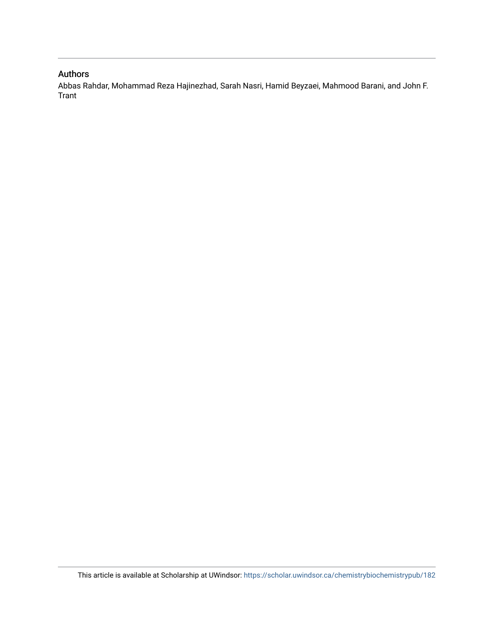### Authors

Abbas Rahdar, Mohammad Reza Hajinezhad, Sarah Nasri, Hamid Beyzaei, Mahmood Barani, and John F. Trant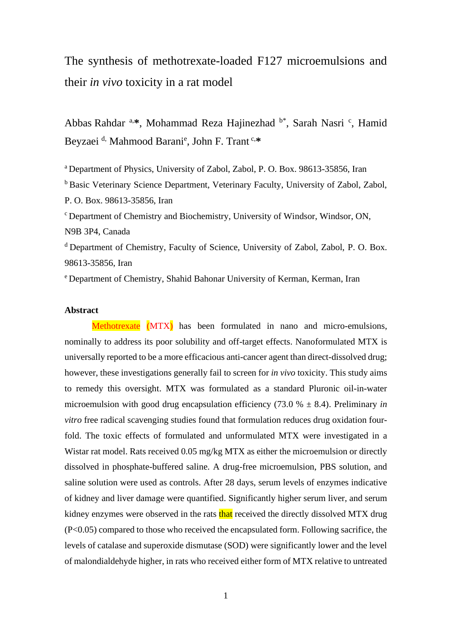The synthesis of methotrexate-loaded F127 microemulsions and their *in vivo* toxicity in a rat model

Abbas Rahdar <sup>a,\*</sup>, Mohammad Reza Hajinezhad <sup>b\*</sup>, Sarah Nasri <sup>c</sup>, Hamid Beyzaei <sup>d,</sup> Mahmood Barani<sup>e</sup>, John F. Trant<sup>c,\*</sup>

<sup>a</sup> Department of Physics, University of Zabol, Zabol, P. O. Box. 98613-35856, Iran <sup>b</sup> Basic Veterinary Science Department, Veterinary Faculty, University of Zabol, Zabol, P. O. Box. 98613-35856, Iran <sup>c</sup> Department of Chemistry and Biochemistry, University of Windsor, Windsor, ON, N9B 3P4, Canada

<sup>d</sup> Department of Chemistry, Faculty of Science, University of Zabol, Zabol, P. O. Box. 98613-35856, Iran

<sup>e</sup> Department of Chemistry, Shahid Bahonar University of Kerman, Kerman, Iran

#### **Abstract**

Methotrexate (MTX) has been formulated in nano and micro-emulsions, nominally to address its poor solubility and off-target effects. Nanoformulated MTX is universally reported to be a more efficacious anti-cancer agent than direct-dissolved drug; however, these investigations generally fail to screen for *in vivo* toxicity. This study aims to remedy this oversight. MTX was formulated as a standard Pluronic oil-in-water microemulsion with good drug encapsulation efficiency  $(73.0 % \pm 8.4)$ . Preliminary *in vitro* free radical scavenging studies found that formulation reduces drug oxidation fourfold. The toxic effects of formulated and unformulated MTX were investigated in a Wistar rat model. Rats received 0.05 mg/kg MTX as either the microemulsion or directly dissolved in phosphate-buffered saline. A drug-free microemulsion, PBS solution, and saline solution were used as controls. After 28 days, serum levels of enzymes indicative of kidney and liver damage were quantified. Significantly higher serum liver, and serum kidney enzymes were observed in the rats that received the directly dissolved MTX drug (P<0.05) compared to those who received the encapsulated form. Following sacrifice, the levels of catalase and superoxide dismutase (SOD) were significantly lower and the level of malondialdehyde higher, in rats who received either form of MTX relative to untreated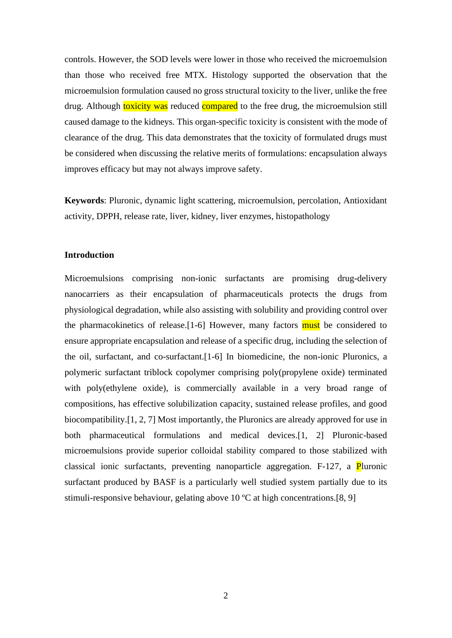controls. However, the SOD levels were lower in those who received the microemulsion than those who received free MTX. Histology supported the observation that the microemulsion formulation caused no gross structural toxicity to the liver, unlike the free drug. Although **toxicity was** reduced **compared** to the free drug, the microemulsion still caused damage to the kidneys. This organ-specific toxicity is consistent with the mode of clearance of the drug. This data demonstrates that the toxicity of formulated drugs must be considered when discussing the relative merits of formulations: encapsulation always improves efficacy but may not always improve safety.

**Keywords**: Pluronic, dynamic light scattering, microemulsion, percolation, Antioxidant activity, DPPH, release rate, liver, kidney, liver enzymes, histopathology

#### **Introduction**

Microemulsions comprising non-ionic surfactants are promising drug-delivery nanocarriers as their encapsulation of pharmaceuticals protects the drugs from physiological degradation, while also assisting with solubility and providing control over the pharmacokinetics of release.<sup>[1-6]</sup> However, many factors **must** be considered to ensure appropriate encapsulation and release of a specific drug, including the selection of the oil, surfactant, and co-surfactant.[1-6] In biomedicine, the non-ionic Pluronics, a polymeric surfactant triblock copolymer comprising poly(propylene oxide) terminated with poly(ethylene oxide), is commercially available in a very broad range of compositions, has effective solubilization capacity, sustained release profiles, and good biocompatibility.[1, 2, 7] Most importantly, the Pluronics are already approved for use in both pharmaceutical formulations and medical devices.[1, 2] Pluronic-based microemulsions provide superior colloidal stability compared to those stabilized with classical ionic surfactants, preventing nanoparticle aggregation. F-127, a Pluronic surfactant produced by BASF is a particularly well studied system partially due to its stimuli-responsive behaviour, gelating above 10 ºC at high concentrations.[8, 9]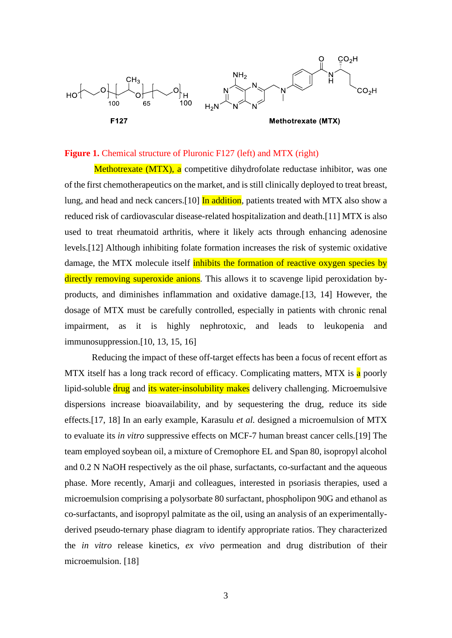

#### **Figure 1.** Chemical structure of Pluronic F127 (left) and MTX (right)

Methotrexate (MTX), a competitive dihydrofolate reductase inhibitor, was one of the first chemotherapeutics on the market, and is still clinically deployed to treat breast, lung, and head and neck cancers.<sup>[10]</sup> In addition, patients treated with MTX also show a reduced risk of cardiovascular disease-related hospitalization and death.[11] MTX is also used to treat rheumatoid arthritis, where it likely acts through enhancing adenosine levels.[12] Although inhibiting folate formation increases the risk of systemic oxidative damage, the MTX molecule itself inhibits the formation of reactive oxygen species by directly removing superoxide anions. This allows it to scavenge lipid peroxidation byproducts, and diminishes inflammation and oxidative damage.[13, 14] However, the dosage of MTX must be carefully controlled, especially in patients with chronic renal impairment, as it is highly nephrotoxic, and leads to leukopenia and immunosuppression.[10, 13, 15, 16]

Reducing the impact of these off-target effects has been a focus of recent effort as MTX itself has a long track record of efficacy. Complicating matters, MTX is a poorly lipid-soluble drug and its water-insolubility makes delivery challenging. Microemulsive dispersions increase bioavailability, and by sequestering the drug, reduce its side effects.[17, 18] In an early example, Karasulu *et al.* designed a microemulsion of MTX to evaluate its *in vitro* suppressive effects on MCF-7 human breast cancer cells.[19] The team employed soybean oil, a mixture of Cremophore EL and Span 80, isopropyl alcohol and 0.2 N NaOH respectively as the oil phase, surfactants, co-surfactant and the aqueous phase. More recently, Amarji and colleagues, interested in psoriasis therapies, used a microemulsion comprising a polysorbate 80 surfactant, phospholipon 90G and ethanol as co-surfactants, and isopropyl palmitate as the oil, using an analysis of an experimentallyderived pseudo-ternary phase diagram to identify appropriate ratios. They characterized the *in vitro* release kinetics, *ex vivo* permeation and drug distribution of their microemulsion. [18]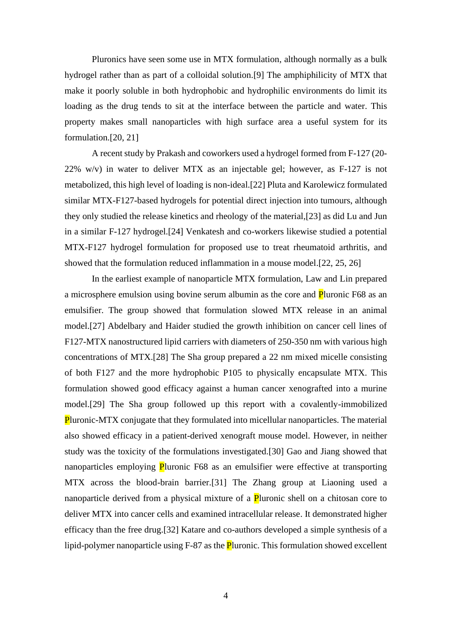Pluronics have seen some use in MTX formulation, although normally as a bulk hydrogel rather than as part of a colloidal solution.[9] The amphiphilicity of MTX that make it poorly soluble in both hydrophobic and hydrophilic environments do limit its loading as the drug tends to sit at the interface between the particle and water. This property makes small nanoparticles with high surface area a useful system for its formulation.[20, 21]

A recent study by Prakash and coworkers used a hydrogel formed from F-127 (20- 22% w/v) in water to deliver MTX as an injectable gel; however, as F-127 is not metabolized, this high level of loading is non-ideal.[22] Pluta and Karolewicz formulated similar MTX-F127-based hydrogels for potential direct injection into tumours, although they only studied the release kinetics and rheology of the material,[23] as did Lu and Jun in a similar F-127 hydrogel.[24] Venkatesh and co-workers likewise studied a potential MTX-F127 hydrogel formulation for proposed use to treat rheumatoid arthritis, and showed that the formulation reduced inflammation in a mouse model.[22, 25, 26]

In the earliest example of nanoparticle MTX formulation, Law and Lin prepared a microsphere emulsion using bovine serum albumin as the core and **P**luronic F68 as an emulsifier. The group showed that formulation slowed MTX release in an animal model.[27] Abdelbary and Haider studied the growth inhibition on cancer cell lines of F127-MTX nanostructured lipid carriers with diameters of 250-350 nm with various high concentrations of MTX.[28] The Sha group prepared a 22 nm mixed micelle consisting of both F127 and the more hydrophobic P105 to physically encapsulate MTX. This formulation showed good efficacy against a human cancer xenografted into a murine model.[29] The Sha group followed up this report with a covalently-immobilized Pluronic-MTX conjugate that they formulated into micellular nanoparticles. The material also showed efficacy in a patient-derived xenograft mouse model. However, in neither study was the toxicity of the formulations investigated.[30] Gao and Jiang showed that nanoparticles employing **P**luronic F68 as an emulsifier were effective at transporting MTX across the blood-brain barrier.[31] The Zhang group at Liaoning used a nanoparticle derived from a physical mixture of a **P**luronic shell on a chitosan core to deliver MTX into cancer cells and examined intracellular release. It demonstrated higher efficacy than the free drug.[32] Katare and co-authors developed a simple synthesis of a lipid-polymer nanoparticle using F-87 as the **P**luronic. This formulation showed excellent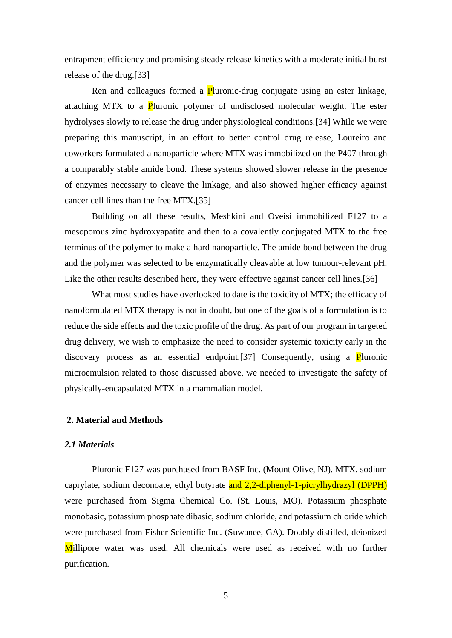entrapment efficiency and promising steady release kinetics with a moderate initial burst release of the drug.[33]

Ren and colleagues formed a Pluronic-drug conjugate using an ester linkage, attaching MTX to a **P**luronic polymer of undisclosed molecular weight. The ester hydrolyses slowly to release the drug under physiological conditions.[34] While we were preparing this manuscript, in an effort to better control drug release, Loureiro and coworkers formulated a nanoparticle where MTX was immobilized on the P407 through a comparably stable amide bond. These systems showed slower release in the presence of enzymes necessary to cleave the linkage, and also showed higher efficacy against cancer cell lines than the free MTX.[35]

Building on all these results, Meshkini and Oveisi immobilized F127 to a mesoporous zinc hydroxyapatite and then to a covalently conjugated MTX to the free terminus of the polymer to make a hard nanoparticle. The amide bond between the drug and the polymer was selected to be enzymatically cleavable at low tumour-relevant pH. Like the other results described here, they were effective against cancer cell lines.[36]

What most studies have overlooked to date is the toxicity of MTX; the efficacy of nanoformulated MTX therapy is not in doubt, but one of the goals of a formulation is to reduce the side effects and the toxic profile of the drug. As part of our program in targeted drug delivery, we wish to emphasize the need to consider systemic toxicity early in the discovery process as an essential endpoint.<sup>[37]</sup> Consequently, using a **P**luronic microemulsion related to those discussed above, we needed to investigate the safety of physically-encapsulated MTX in a mammalian model.

# **2. Material and Methods**

#### *2.1 Materials*

Pluronic F127 was purchased from BASF Inc. (Mount Olive, NJ). MTX, sodium caprylate, sodium deconoate, ethyl butyrate and 2,2-diphenyl-1-picrylhydrazyl (DPPH) were purchased from Sigma Chemical Co. (St. Louis, MO). Potassium phosphate monobasic, potassium phosphate dibasic, sodium chloride, and potassium chloride which were purchased from Fisher Scientific Inc. (Suwanee, GA). Doubly distilled, deionized Millipore water was used. All chemicals were used as received with no further purification.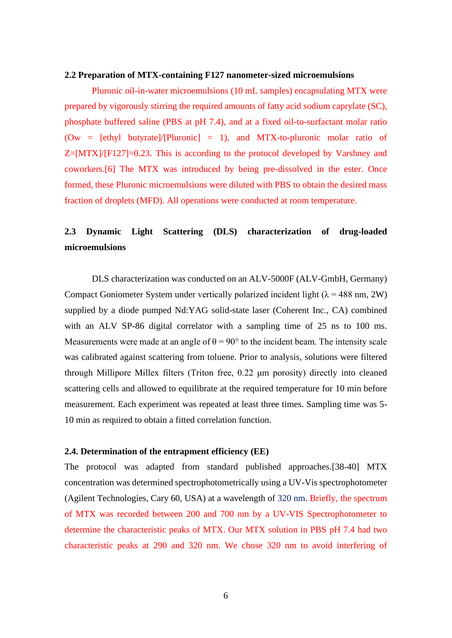#### **2.2 Preparation of MTX-containing F127 nanometer-sized microemulsions**

Pluronic oil-in-water microemulsions (10 mL samples) encapsulating MTX were prepared by vigorously stirring the required amounts of fatty acid sodium caprylate (SC), phosphate buffered saline (PBS at pH 7.4), and at a fixed oil-to-surfactant molar ratio  $(0w = [ethyl \t butyrate]/[Pluronic] = 1)$ , and MTX-to-pluronic molar ratio of  $Z=[MTX]/[F127]=0.23$ . This is according to the protocol developed by Varshney and coworkers.[6] The MTX was introduced by being pre-dissolved in the ester. Once formed, these Pluronic microemulsions were diluted with PBS to obtain the desired mass fraction of droplets (MFD). All operations were conducted at room temperature.

# **2.3 Dynamic Light Scattering (DLS) characterization of drug-loaded microemulsions**

DLS characterization was conducted on an ALV-5000F (ALV-GmbH, Germany) Compact Goniometer System under vertically polarized incident light  $(\lambda = 488 \text{ nm}, 2W)$ supplied by a diode pumped Nd:YAG solid-state laser (Coherent Inc., CA) combined with an ALV SP-86 digital correlator with a sampling time of 25 ns to 100 ms. Measurements were made at an angle of  $\theta = 90^{\circ}$  to the incident beam. The intensity scale was calibrated against scattering from toluene. Prior to analysis, solutions were filtered through Millipore Millex filters (Triton free, 0.22 μm porosity) directly into cleaned scattering cells and allowed to equilibrate at the required temperature for 10 min before measurement. Each experiment was repeated at least three times. Sampling time was 5**-** 10 min as required to obtain a fitted correlation function.

#### **2.4. Determination of the entrapment efficiency (EE)**

The protocol was adapted from standard published approaches.[38-40] MTX concentration was determined spectrophotometrically using a UV-Vis spectrophotometer (Agilent Technologies, Cary 60, USA) at a wavelength of 320 nm. Briefly, the spectrum of MTX was recorded between 200 and 700 nm by a UV-VIS Spectrophotometer to determine the characteristic peaks of MTX. Our MTX solution in PBS pH 7.4 had two characteristic peaks at 290 and 320 nm. We chose 320 nm to avoid interfering of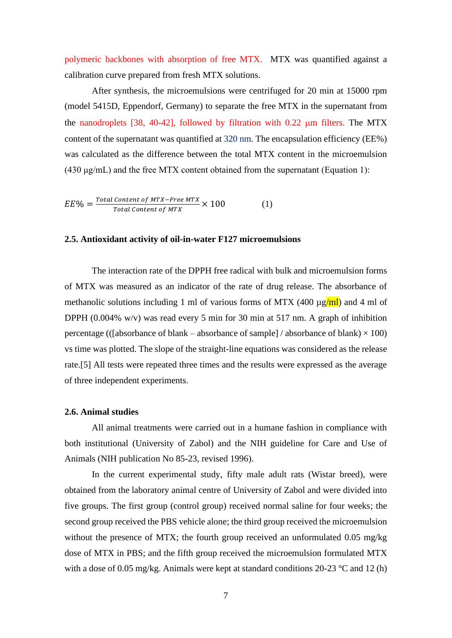polymeric backbones with absorption of free MTX. MTX was quantified against a calibration curve prepared from fresh MTX solutions.

After synthesis, the microemulsions were centrifuged for 20 min at 15000 rpm (model 5415D, Eppendorf, Germany) to separate the free MTX in the supernatant from the nanodroplets  $[38, 40-42]$ , followed by filtration with 0.22  $\mu$ m filters. The MTX content of the supernatant was quantified at 320 nm. The encapsulation efficiency (EE%) was calculated as the difference between the total MTX content in the microemulsion (430  $\mu$ g/mL) and the free MTX content obtained from the supernatant (Equation 1):

$$
EE\% = \frac{Total\ Content\ of\ MTX - Free\ MTX}{Total\ Content\ of\ MTX} \times 100
$$
 (1)

# **2.5. Antioxidant activity of oil-in-water F127 microemulsions**

The interaction rate of the DPPH free radical with bulk and microemulsion forms of MTX was measured as an indicator of the rate of drug release. The absorbance of methanolic solutions including 1 ml of various forms of MTX (400  $\mu$ g/ml) and 4 ml of DPPH (0.004% w/v) was read every 5 min for 30 min at 517 nm. A graph of inhibition percentage (([absorbance of blank – absorbance of sample] / absorbance of blank)  $\times$  100) vs time was plotted. The slope of the straight-line equations was considered as the release rate.[5] All tests were repeated three times and the results were expressed as the average of three independent experiments.

#### **2.6. Animal studies**

All animal treatments were carried out in a humane fashion in compliance with both institutional (University of Zabol) and the NIH guideline for Care and Use of Animals (NIH publication No 85-23, revised 1996).

In the current experimental study, fifty male adult rats (Wistar breed), were obtained from the laboratory animal centre of University of Zabol and were divided into five groups. The first group (control group) received normal saline for four weeks; the second group received the PBS vehicle alone; the third group received the microemulsion without the presence of MTX; the fourth group received an unformulated 0.05 mg/kg dose of MTX in PBS; and the fifth group received the microemulsion formulated MTX with a dose of 0.05 mg/kg. Animals were kept at standard conditions 20-23  $\degree$ C and 12 (h)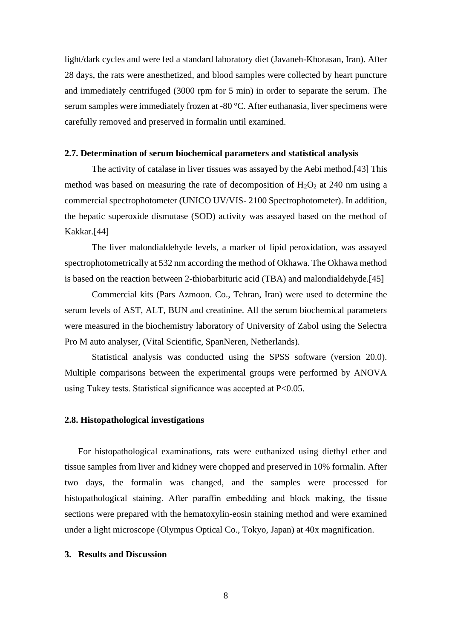light/dark cycles and were fed a standard laboratory diet (Javaneh-Khorasan, Iran). After 28 days, the rats were anesthetized, and blood samples were collected by heart puncture and immediately centrifuged (3000 rpm for 5 min) in order to separate the serum. The serum samples were immediately frozen at -80 °C. After euthanasia, liver specimens were carefully removed and preserved in formalin until examined.

#### **2.7. Determination of serum biochemical parameters and statistical analysis**

The activity of catalase in liver tissues was assayed by the Aebi method.[43] This method was based on measuring the rate of decomposition of  $H_2O_2$  at 240 nm using a commercial spectrophotometer (UNICO UV/VIS- 2100 Spectrophotometer). In addition, the hepatic superoxide dismutase (SOD) activity was assayed based on the method of Kakkar.[44]

The liver malondialdehyde levels, a marker of lipid peroxidation, was assayed spectrophotometrically at 532 nm according the method of Okhawa. The Okhawa method is based on the reaction between 2-thiobarbituric acid (TBA) and malondialdehyde.[45]

Commercial kits (Pars Azmoon. Co., Tehran, Iran) were used to determine the serum levels of AST, ALT, BUN and creatinine. All the serum biochemical parameters were measured in the biochemistry laboratory of University of Zabol using the Selectra Pro M auto analyser, (Vital Scientific, SpanNeren, Netherlands).

Statistical analysis was conducted using the SPSS software (version 20.0). Multiple comparisons between the experimental groups were performed by ANOVA using Tukey tests. Statistical significance was accepted at P<0.05.

# **2.8. Histopathological investigations**

For histopathological examinations, rats were euthanized using diethyl ether and tissue samples from liver and kidney were chopped and preserved in 10% formalin. After two days, the formalin was changed, and the samples were processed for histopathological staining. After paraffin embedding and block making, the tissue sections were prepared with the hematoxylin-eosin staining method and were examined under a light microscope (Olympus Optical Co., Tokyo, Japan) at 40x magnification.

# **3. Results and Discussion**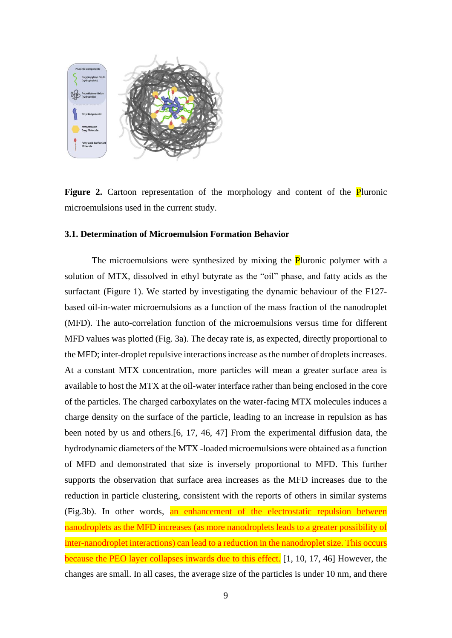

**Figure 2.** Cartoon representation of the morphology and content of the **P**luronic microemulsions used in the current study.

#### **3.1. Determination of Microemulsion Formation Behavior**

The microemulsions were synthesized by mixing the **P**luronic polymer with a solution of MTX, dissolved in ethyl butyrate as the "oil" phase, and fatty acids as the surfactant (Figure 1). We started by investigating the dynamic behaviour of the F127 based oil-in-water microemulsions as a function of the mass fraction of the nanodroplet (MFD). The auto-correlation function of the microemulsions versus time for different MFD values was plotted (Fig. 3a). The decay rate is, as expected, directly proportional to the MFD; inter-droplet repulsive interactions increase as the number of droplets increases. At a constant MTX concentration, more particles will mean a greater surface area is available to host the MTX at the oil-water interface rather than being enclosed in the core of the particles. The charged carboxylates on the water-facing MTX molecules induces a charge density on the surface of the particle, leading to an increase in repulsion as has been noted by us and others.[6, 17, 46, 47] From the experimental diffusion data, the hydrodynamic diameters of the MTX -loaded microemulsions were obtained as a function of MFD and demonstrated that size is inversely proportional to MFD. This further supports the observation that surface area increases as the MFD increases due to the reduction in particle clustering, consistent with the reports of others in similar systems (Fig.3b). In other words, an enhancement of the electrostatic repulsion between nanodroplets as the MFD increases (as more nanodroplets leads to a greater possibility of inter-nanodroplet interactions) can lead to a reduction in the nanodroplet size. This occurs because the PEO layer collapses inwards due to this effect. [1, 10, 17, 46] However, the changes are small. In all cases, the average size of the particles is under 10 nm, and there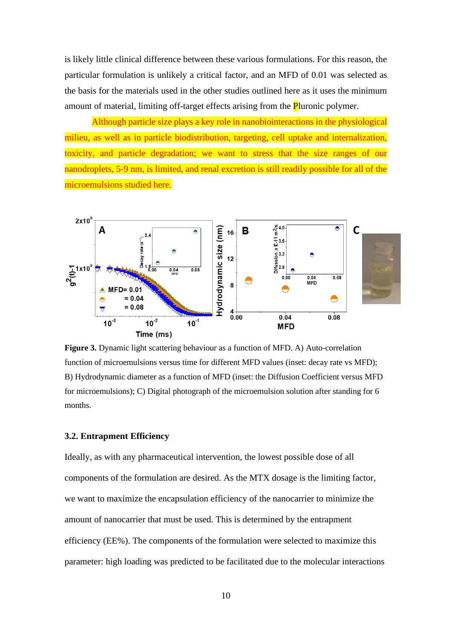is likely little clinical difference between these various formulations. For this reason, the particular formulation is unlikely a critical factor, and an MFD of 0.01 was selected as the basis for the materials used in the other studies outlined here as it uses the minimum amount of material, limiting off-target effects arising from the **P**luronic polymer.

Although particle size plays a key role in nanobiointeractions in the physiological milieu, as well as in particle biodistribution, targeting, cell uptake and internalization, toxicity, and particle degradation; we want to stress that the size ranges of our nanodroplets, 5-9 nm, is limited, and renal excretion is still readily possible for all of the microemulsions studied here.



**Figure 3.** Dynamic light scattering behaviour as a function of MFD. A) Auto-correlation function of microemulsions versus time for different MFD values (inset: decay rate vs MFD); B) Hydrodynamic diameter as a function of MFD (inset: the Diffusion Coefficient versus MFD for microemulsions); C) Digital photograph of the microemulsion solution after standing for 6 months.

#### **3.2. Entrapment Efficiency**

Ideally, as with any pharmaceutical intervention, the lowest possible dose of all components of the formulation are desired. As the MTX dosage is the limiting factor, we want to maximize the encapsulation efficiency of the nanocarrier to minimize the amount of nanocarrier that must be used. This is determined by the entrapment efficiency (EE%). The components of the formulation were selected to maximize this parameter: high loading was predicted to be facilitated due to the molecular interactions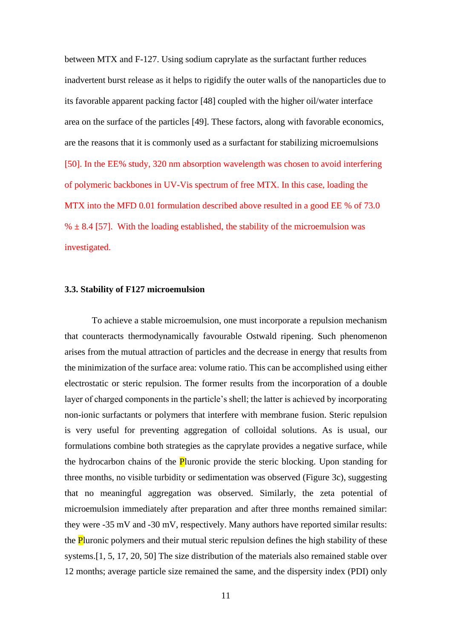between MTX and F-127. Using sodium caprylate as the surfactant further reduces inadvertent burst release as it helps to rigidify the outer walls of the nanoparticles due to its favorable apparent packing factor [48] coupled with the higher oil/water interface area on the surface of the particles [49]. These factors, along with favorable economics, are the reasons that it is commonly used as a surfactant for stabilizing microemulsions [50]. In the EE% study, 320 nm absorption wavelength was chosen to avoid interfering of polymeric backbones in UV-Vis spectrum of free MTX. In this case, loading the MTX into the MFD 0.01 formulation described above resulted in a good EE % of 73.0  $% \pm 8.4$  [57]. With the loading established, the stability of the microemulsion was investigated.

#### **3.3. Stability of F127 microemulsion**

To achieve a stable microemulsion, one must incorporate a repulsion mechanism that counteracts thermodynamically favourable Ostwald ripening. Such phenomenon arises from the mutual attraction of particles and the decrease in energy that results from the minimization of the surface area: volume ratio. This can be accomplished using either electrostatic or steric repulsion. The former results from the incorporation of a double layer of charged components in the particle's shell; the latter is achieved by incorporating non-ionic surfactants or polymers that interfere with membrane fusion. Steric repulsion is very useful for preventing aggregation of colloidal solutions. As is usual, our formulations combine both strategies as the caprylate provides a negative surface, while the hydrocarbon chains of the **P**luronic provide the steric blocking. Upon standing for three months, no visible turbidity or sedimentation was observed (Figure 3c), suggesting that no meaningful aggregation was observed. Similarly, the zeta potential of microemulsion immediately after preparation and after three months remained similar: they were -35 mV and -30 mV, respectively. Many authors have reported similar results: the **P**luronic polymers and their mutual steric repulsion defines the high stability of these systems.[1, 5, 17, 20, 50] The size distribution of the materials also remained stable over 12 months; average particle size remained the same, and the dispersity index (PDI) only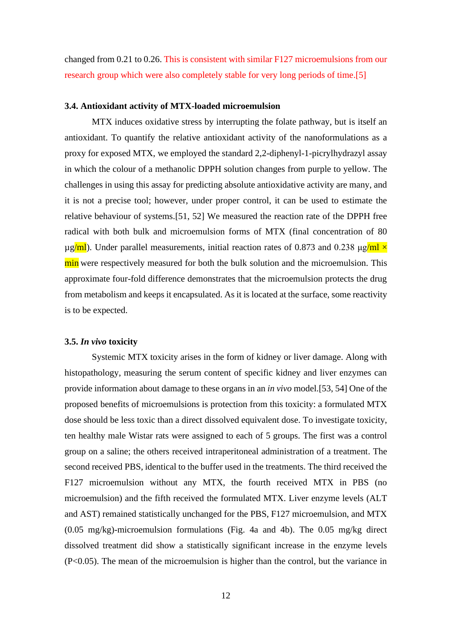changed from 0.21 to 0.26. This is consistent with similar F127 microemulsions from our research group which were also completely stable for very long periods of time.[5]

#### **3.4. Antioxidant activity of MTX-loaded microemulsion**

MTX induces oxidative stress by interrupting the folate pathway, but is itself an antioxidant. To quantify the relative antioxidant activity of the nanoformulations as a proxy for exposed MTX, we employed the standard 2,2-diphenyl-1-picrylhydrazyl assay in which the colour of a methanolic DPPH solution changes from purple to yellow. The challenges in using this assay for predicting absolute antioxidative activity are many, and it is not a precise tool; however, under proper control, it can be used to estimate the relative behaviour of systems.[51, 52] We measured the reaction rate of the DPPH free radical with both bulk and microemulsion forms of MTX (final concentration of 80  $\mu$ g/ml). Under parallel measurements, initial reaction rates of 0.873 and 0.238  $\mu$ g/ml  $\times$ min were respectively measured for both the bulk solution and the microemulsion. This approximate four-fold difference demonstrates that the microemulsion protects the drug from metabolism and keeps it encapsulated. As it is located at the surface, some reactivity is to be expected.

#### **3.5.** *In vivo* **toxicity**

Systemic MTX toxicity arises in the form of kidney or liver damage. Along with histopathology, measuring the serum content of specific kidney and liver enzymes can provide information about damage to these organs in an *in vivo* model.[53, 54] One of the proposed benefits of microemulsions is protection from this toxicity: a formulated MTX dose should be less toxic than a direct dissolved equivalent dose. To investigate toxicity, ten healthy male Wistar rats were assigned to each of 5 groups. The first was a control group on a saline; the others received intraperitoneal administration of a treatment. The second received PBS, identical to the buffer used in the treatments. The third received the F127 microemulsion without any MTX, the fourth received MTX in PBS (no microemulsion) and the fifth received the formulated MTX. Liver enzyme levels (ALT and AST) remained statistically unchanged for the PBS, F127 microemulsion, and MTX (0.05 mg/kg)-microemulsion formulations (Fig. 4a and 4b). The 0.05 mg/kg direct dissolved treatment did show a statistically significant increase in the enzyme levels (P<0.05). The mean of the microemulsion is higher than the control, but the variance in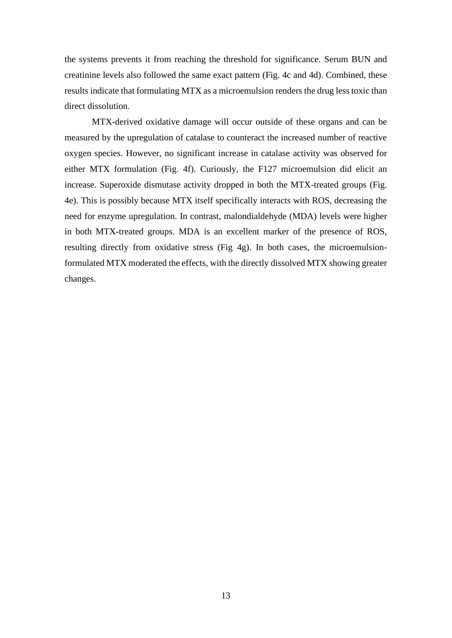the systems prevents it from reaching the threshold for significance. Serum BUN and creatinine levels also followed the same exact pattern (Fig. 4c and 4d). Combined, these results indicate that formulating MTX as a microemulsion renders the drug less toxic than direct dissolution.

MTX-derived oxidative damage will occur outside of these organs and can be measured by the upregulation of catalase to counteract the increased number of reactive oxygen species. However, no significant increase in catalase activity was observed for either MTX formulation (Fig. 4f). Curiously, the F127 microemulsion did elicit an increase. Superoxide dismutase activity dropped in both the MTX-treated groups (Fig. 4e). This is possibly because MTX itself specifically interacts with ROS, decreasing the need for enzyme upregulation. In contrast, malondialdehyde (MDA) levels were higher in both MTX-treated groups. MDA is an excellent marker of the presence of ROS, resulting directly from oxidative stress (Fig 4g). In both cases, the microemulsionformulated MTX moderated the effects, with the directly dissolved MTX showing greater changes.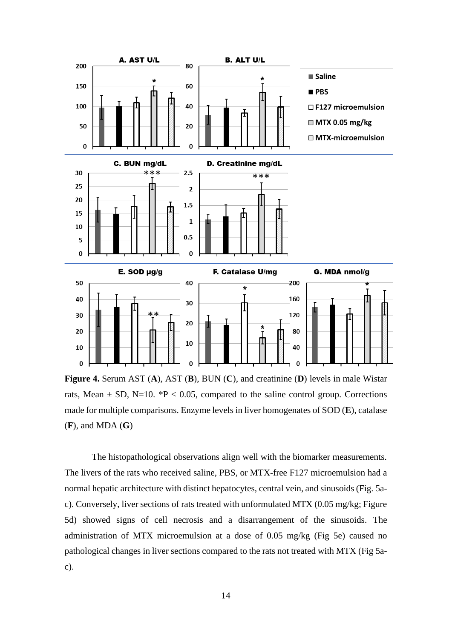

**Figure 4.** Serum AST (**A**), AST (**B**), BUN (**C**), and creatinine (**D**) levels in male Wistar rats, Mean  $\pm$  SD, N=10. \*P < 0.05, compared to the saline control group. Corrections made for multiple comparisons. Enzyme levels in liver homogenates of SOD (**E**), catalase (**F**), and MDA (**G**)

The histopathological observations align well with the biomarker measurements. The livers of the rats who received saline, PBS, or MTX-free F127 microemulsion had a normal hepatic architecture with distinct hepatocytes, central vein, and sinusoids (Fig. 5ac). Conversely, liver sections of rats treated with unformulated MTX (0.05 mg/kg; Figure 5d) showed signs of cell necrosis and a disarrangement of the sinusoids. The administration of MTX microemulsion at a dose of 0.05 mg/kg (Fig 5e) caused no pathological changes in liver sections compared to the rats not treated with MTX (Fig 5ac).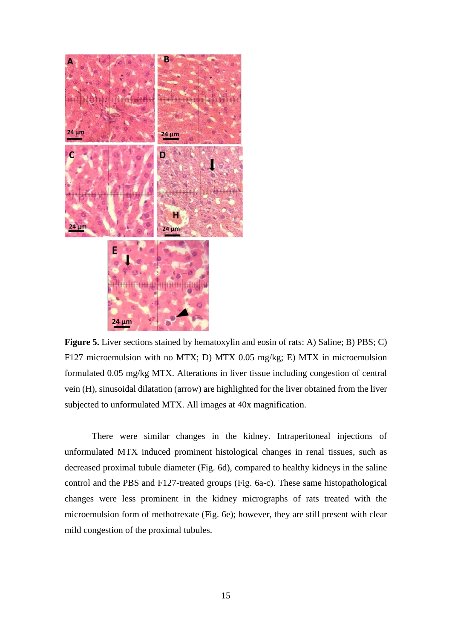

**Figure 5.** Liver sections stained by hematoxylin and eosin of rats: A) Saline; B) PBS; C) F127 microemulsion with no MTX; D) MTX 0.05 mg/kg; E) MTX in microemulsion formulated 0.05 mg/kg MTX. Alterations in liver tissue including congestion of central vein (H), sinusoidal dilatation (arrow) are highlighted for the liver obtained from the liver subjected to unformulated MTX. All images at 40x magnification.

There were similar changes in the kidney. Intraperitoneal injections of unformulated MTX induced prominent histological changes in renal tissues, such as decreased proximal tubule diameter (Fig. 6d), compared to healthy kidneys in the saline control and the PBS and F127-treated groups (Fig. 6a-c). These same histopathological changes were less prominent in the kidney micrographs of rats treated with the microemulsion form of methotrexate (Fig. 6e); however, they are still present with clear mild congestion of the proximal tubules.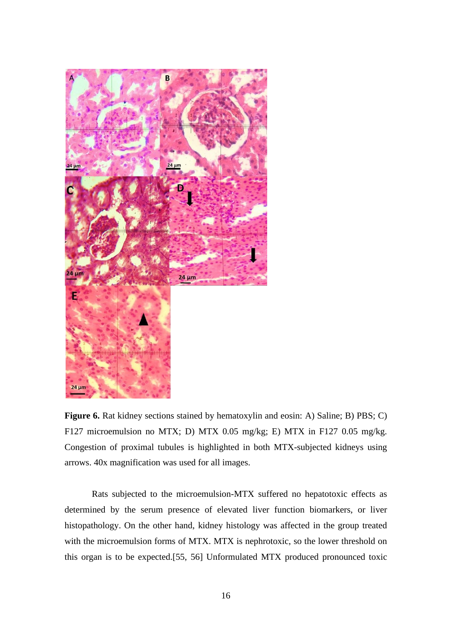

**Figure 6.** Rat kidney sections stained by hematoxylin and eosin: A) Saline; B) PBS; C) F127 microemulsion no MTX; D) MTX 0.05 mg/kg; E) MTX in F127 0.05 mg/kg. Congestion of proximal tubules is highlighted in both MTX-subjected kidneys using arrows. 40x magnification was used for all images.

Rats subjected to the microemulsion-MTX suffered no hepatotoxic effects as determined by the serum presence of elevated liver function biomarkers, or liver histopathology. On the other hand, kidney histology was affected in the group treated with the microemulsion forms of MTX. MTX is nephrotoxic, so the lower threshold on this organ is to be expected.[55, 56] Unformulated MTX produced pronounced toxic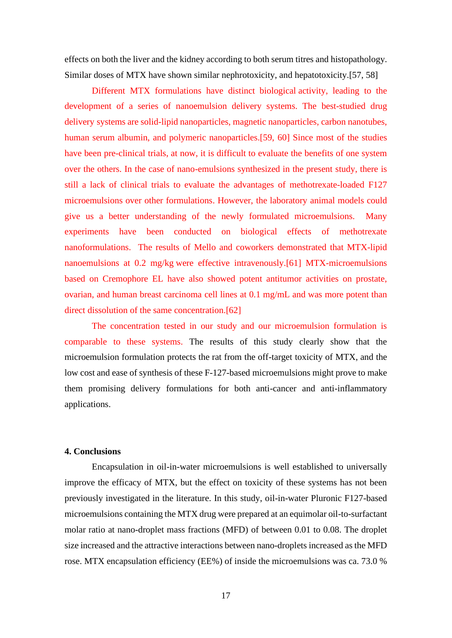effects on both the liver and the kidney according to both serum titres and histopathology. Similar doses of MTX have shown similar nephrotoxicity, and hepatotoxicity.[57, 58]

Different MTX formulations have distinct biological activity, leading to the development of a series of nanoemulsion delivery systems. The best-studied drug delivery systems are solid-lipid nanoparticles, magnetic nanoparticles, carbon nanotubes, human serum albumin, and polymeric nanoparticles.[59, 60] Since most of the studies have been pre-clinical trials, at now, it is difficult to evaluate the benefits of one system over the others. In the case of nano-emulsions synthesized in the present study, there is still a lack of clinical trials to evaluate the advantages of methotrexate-loaded F127 microemulsions over other formulations. However, the laboratory animal models could give us a better understanding of the newly formulated microemulsions. Many experiments have been conducted on biological effects of methotrexate nanoformulations. The results of Mello and coworkers demonstrated that MTX-lipid nanoemulsions at 0.2 mg/kg were effective intravenously.[61] MTX-microemulsions based on Cremophore EL have also showed potent antitumor activities on prostate, ovarian, and human breast carcinoma cell lines at 0.1 mg/mL and was more potent than direct dissolution of the same concentration.<sup>[62]</sup>

The concentration tested in our study and our microemulsion formulation is comparable to these systems. The results of this study clearly show that the microemulsion formulation protects the rat from the off-target toxicity of MTX, and the low cost and ease of synthesis of these F-127-based microemulsions might prove to make them promising delivery formulations for both anti-cancer and anti-inflammatory applications.

# **4. Conclusions**

Encapsulation in oil-in-water microemulsions is well established to universally improve the efficacy of MTX, but the effect on toxicity of these systems has not been previously investigated in the literature. In this study, oil-in-water Pluronic F127-based microemulsions containing the MTX drug were prepared at an equimolar oil-to-surfactant molar ratio at nano-droplet mass fractions (MFD) of between 0.01 to 0.08. The droplet size increased and the attractive interactions between nano-droplets increased as the MFD rose. MTX encapsulation efficiency (EE%) of inside the microemulsions was ca. 73.0 %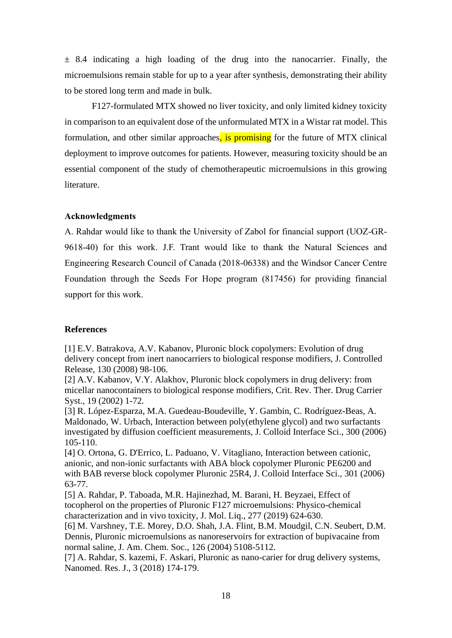$\pm$  8.4 indicating a high loading of the drug into the nanocarrier. Finally, the microemulsions remain stable for up to a year after synthesis, demonstrating their ability to be stored long term and made in bulk.

F127-formulated MTX showed no liver toxicity, and only limited kidney toxicity in comparison to an equivalent dose of the unformulated MTX in a Wistar rat model. This formulation, and other similar approaches, is promising for the future of MTX clinical deployment to improve outcomes for patients. However, measuring toxicity should be an essential component of the study of chemotherapeutic microemulsions in this growing literature.

# **Acknowledgments**

A. Rahdar would like to thank the University of Zabol for financial support (UOZ-GR-9618-40) for this work. J.F. Trant would like to thank the Natural Sciences and Engineering Research Council of Canada (2018-06338) and the Windsor Cancer Centre Foundation through the Seeds For Hope program (817456) for providing financial support for this work.

# **References**

[1] E.V. Batrakova, A.V. Kabanov, Pluronic block copolymers: Evolution of drug delivery concept from inert nanocarriers to biological response modifiers, J. Controlled Release, 130 (2008) 98-106.

[2] A.V. Kabanov, V.Y. Alakhov, Pluronic block copolymers in drug delivery: from micellar nanocontainers to biological response modifiers, Crit. Rev. Ther. Drug Carrier Syst., 19 (2002) 1-72.

[3] R. López-Esparza, M.A. Guedeau-Boudeville, Y. Gambin, C. Rodríguez-Beas, A. Maldonado, W. Urbach, Interaction between poly(ethylene glycol) and two surfactants investigated by diffusion coefficient measurements, J. Colloid Interface Sci., 300 (2006) 105-110.

[4] O. Ortona, G. D'Errico, L. Paduano, V. Vitagliano, Interaction between cationic, anionic, and non-ionic surfactants with ABA block copolymer Pluronic PE6200 and with BAB reverse block copolymer Pluronic 25R4, J. Colloid Interface Sci., 301 (2006) 63-77.

[5] A. Rahdar, P. Taboada, M.R. Hajinezhad, M. Barani, H. Beyzaei, Effect of tocopherol on the properties of Pluronic F127 microemulsions: Physico-chemical characterization and in vivo toxicity, J. Mol. Liq., 277 (2019) 624-630.

[6] M. Varshney, T.E. Morey, D.O. Shah, J.A. Flint, B.M. Moudgil, C.N. Seubert, D.M. Dennis, Pluronic microemulsions as nanoreservoirs for extraction of bupivacaine from normal saline, J. Am. Chem. Soc., 126 (2004) 5108-5112.

[7] A. Rahdar, S. kazemi, F. Askari, Pluronic as nano-carier for drug delivery systems, Nanomed. Res. J., 3 (2018) 174-179.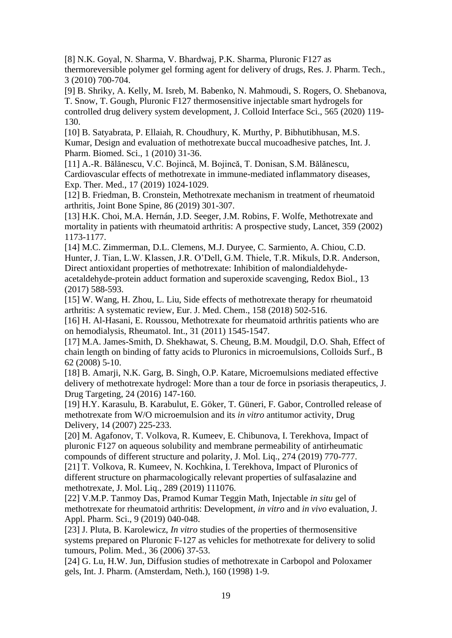[8] N.K. Goyal, N. Sharma, V. Bhardwaj, P.K. Sharma, Pluronic F127 as thermoreversible polymer gel forming agent for delivery of drugs, Res. J. Pharm. Tech., 3 (2010) 700-704.

[9] B. Shriky, A. Kelly, M. Isreb, M. Babenko, N. Mahmoudi, S. Rogers, O. Shebanova, T. Snow, T. Gough, Pluronic F127 thermosensitive injectable smart hydrogels for controlled drug delivery system development, J. Colloid Interface Sci., 565 (2020) 119- 130.

[10] B. Satyabrata, P. Ellaiah, R. Choudhury, K. Murthy, P. Bibhutibhusan, M.S. Kumar, Design and evaluation of methotrexate buccal mucoadhesive patches, Int. J. Pharm. Biomed. Sci., 1 (2010) 31-36.

[11] A.-R. Bălănescu, V.C. Bojincă, M. Bojincă, T. Donisan, S.M. Bălănescu, Cardiovascular effects of methotrexate in immune-mediated inflammatory diseases, Exp. Ther. Med., 17 (2019) 1024-1029.

[12] B. Friedman, B. Cronstein, Methotrexate mechanism in treatment of rheumatoid arthritis, Joint Bone Spine, 86 (2019) 301-307.

[13] H.K. Choi, M.A. Hernán, J.D. Seeger, J.M. Robins, F. Wolfe, Methotrexate and mortality in patients with rheumatoid arthritis: A prospective study, Lancet, 359 (2002) 1173-1177.

[14] M.C. Zimmerman, D.L. Clemens, M.J. Duryee, C. Sarmiento, A. Chiou, C.D. Hunter, J. Tian, L.W. Klassen, J.R. O'Dell, G.M. Thiele, T.R. Mikuls, D.R. Anderson, Direct antioxidant properties of methotrexate: Inhibition of malondialdehydeacetaldehyde-protein adduct formation and superoxide scavenging, Redox Biol., 13 (2017) 588-593.

[15] W. Wang, H. Zhou, L. Liu, Side effects of methotrexate therapy for rheumatoid arthritis: A systematic review, Eur. J. Med. Chem., 158 (2018) 502-516.

[16] H. Al-Hasani, E. Roussou, Methotrexate for rheumatoid arthritis patients who are on hemodialysis, Rheumatol. Int., 31 (2011) 1545-1547.

[17] M.A. James-Smith, D. Shekhawat, S. Cheung, B.M. Moudgil, D.O. Shah, Effect of chain length on binding of fatty acids to Pluronics in microemulsions, Colloids Surf., B 62 (2008) 5-10.

[18] B. Amarji, N.K. Garg, B. Singh, O.P. Katare, Microemulsions mediated effective delivery of methotrexate hydrogel: More than a tour de force in psoriasis therapeutics, J. Drug Targeting, 24 (2016) 147-160.

[19] H.Y. Karasulu, B. Karabulut, E. Göker, T. Güneri, F. Gabor, Controlled release of methotrexate from W/O microemulsion and its *in vitro* antitumor activity, Drug Delivery, 14 (2007) 225-233.

[20] M. Agafonov, T. Volkova, R. Kumeev, E. Chibunova, I. Terekhova, Impact of pluronic F127 on aqueous solubility and membrane permeability of antirheumatic compounds of different structure and polarity, J. Mol. Liq., 274 (2019) 770-777.

[21] T. Volkova, R. Kumeev, N. Kochkina, I. Terekhova, Impact of Pluronics of different structure on pharmacologically relevant properties of sulfasalazine and methotrexate, J. Mol. Liq., 289 (2019) 111076.

[22] V.M.P. Tanmoy Das, Pramod Kumar Teggin Math, Injectable *in situ* gel of methotrexate for rheumatoid arthritis: Development, *in vitro* and *in vivo* evaluation, J. Appl. Pharm. Sci., 9 (2019) 040-048.

[23] J. Pluta, B. Karolewicz, *In vitro* studies of the properties of thermosensitive systems prepared on Pluronic F-127 as vehicles for methotrexate for delivery to solid tumours, Polim. Med., 36 (2006) 37-53.

[24] G. Lu, H.W. Jun, Diffusion studies of methotrexate in Carbopol and Poloxamer gels, Int. J. Pharm. (Amsterdam, Neth.), 160 (1998) 1-9.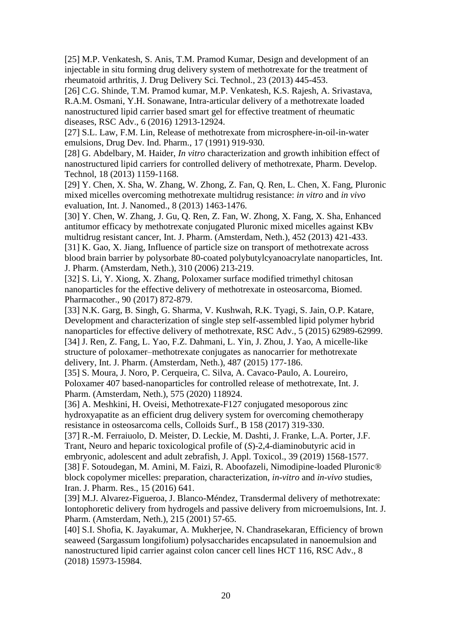[25] M.P. Venkatesh, S. Anis, T.M. Pramod Kumar, Design and development of an injectable in situ forming drug delivery system of methotrexate for the treatment of rheumatoid arthritis, J. Drug Delivery Sci. Technol., 23 (2013) 445-453.

[26] C.G. Shinde, T.M. Pramod kumar, M.P. Venkatesh, K.S. Rajesh, A. Srivastava, R.A.M. Osmani, Y.H. Sonawane, Intra-articular delivery of a methotrexate loaded nanostructured lipid carrier based smart gel for effective treatment of rheumatic diseases, RSC Adv., 6 (2016) 12913-12924.

[27] S.L. Law, F.M. Lin, Release of methotrexate from microsphere-in-oil-in-water emulsions, Drug Dev. Ind. Pharm., 17 (1991) 919-930.

[28] G. Abdelbary, M. Haider, *In vitro* characterization and growth inhibition effect of nanostructured lipid carriers for controlled delivery of methotrexate, Pharm. Develop. Technol, 18 (2013) 1159-1168.

[29] Y. Chen, X. Sha, W. Zhang, W. Zhong, Z. Fan, Q. Ren, L. Chen, X. Fang, Pluronic mixed micelles overcoming methotrexate multidrug resistance: *in vitro* and *in vivo* evaluation, Int. J. Nanomed., 8 (2013) 1463-1476.

[30] Y. Chen, W. Zhang, J. Gu, Q. Ren, Z. Fan, W. Zhong, X. Fang, X. Sha, Enhanced antitumor efficacy by methotrexate conjugated Pluronic mixed micelles against KBv multidrug resistant cancer, Int. J. Pharm. (Amsterdam, Neth.), 452 (2013) 421-433. [31] K. Gao, X. Jiang, Influence of particle size on transport of methotrexate across blood brain barrier by polysorbate 80-coated polybutylcyanoacrylate nanoparticles, Int. J. Pharm. (Amsterdam, Neth.), 310 (2006) 213-219.

[32] S. Li, Y. Xiong, X. Zhang, Poloxamer surface modified trimethyl chitosan nanoparticles for the effective delivery of methotrexate in osteosarcoma, Biomed. Pharmacother., 90 (2017) 872-879.

[33] N.K. Garg, B. Singh, G. Sharma, V. Kushwah, R.K. Tyagi, S. Jain, O.P. Katare, Development and characterization of single step self-assembled lipid polymer hybrid nanoparticles for effective delivery of methotrexate, RSC Adv., 5 (2015) 62989-62999. [34] J. Ren, Z. Fang, L. Yao, F.Z. Dahmani, L. Yin, J. Zhou, J. Yao, A micelle-like structure of poloxamer–methotrexate conjugates as nanocarrier for methotrexate delivery, Int. J. Pharm. (Amsterdam, Neth.), 487 (2015) 177-186.

[35] S. Moura, J. Noro, P. Cerqueira, C. Silva, A. Cavaco-Paulo, A. Loureiro, Poloxamer 407 based-nanoparticles for controlled release of methotrexate, Int. J. Pharm. (Amsterdam, Neth.), 575 (2020) 118924.

[36] A. Meshkini, H. Oveisi, Methotrexate-F127 conjugated mesoporous zinc hydroxyapatite as an efficient drug delivery system for overcoming chemotherapy resistance in osteosarcoma cells, Colloids Surf., B 158 (2017) 319-330.

[37] R.-M. Ferraiuolo, D. Meister, D. Leckie, M. Dashti, J. Franke, L.A. Porter, J.F. Trant, Neuro and heparic toxicological profile of (*S*)-2,4-diaminobutyric acid in embryonic, adolescent and adult zebrafish, J. Appl. Toxicol., 39 (2019) 1568-1577. [38] F. Sotoudegan, M. Amini, M. Faizi, R. Aboofazeli, Nimodipine-loaded Pluronic® block copolymer micelles: preparation, characterization, *in-vitro* and *in-vivo* studies, Iran. J. Pharm. Res., 15 (2016) 641.

[39] M.J. Alvarez-Figueroa, J. Blanco-Méndez, Transdermal delivery of methotrexate: Iontophoretic delivery from hydrogels and passive delivery from microemulsions, Int. J. Pharm. (Amsterdam, Neth.), 215 (2001) 57-65.

[40] S.I. Shofia, K. Jayakumar, A. Mukherjee, N. Chandrasekaran, Efficiency of brown seaweed (Sargassum longifolium) polysaccharides encapsulated in nanoemulsion and nanostructured lipid carrier against colon cancer cell lines HCT 116, RSC Adv., 8 (2018) 15973-15984.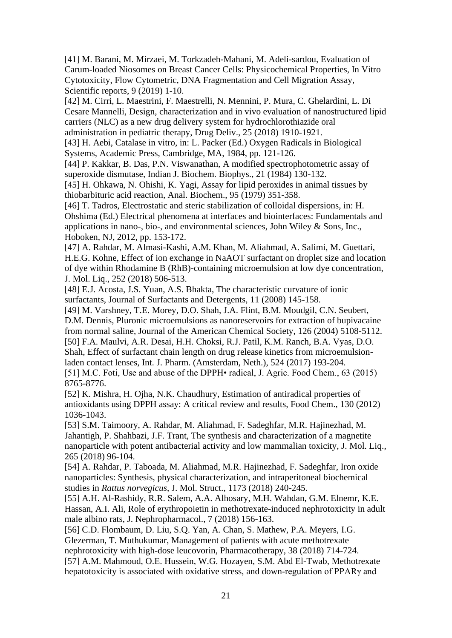[41] M. Barani, M. Mirzaei, M. Torkzadeh-Mahani, M. Adeli-sardou, Evaluation of Carum-loaded Niosomes on Breast Cancer Cells: Physicochemical Properties, In Vitro Cytotoxicity, Flow Cytometric, DNA Fragmentation and Cell Migration Assay, Scientific reports, 9 (2019) 1-10.

[42] M. Cirri, L. Maestrini, F. Maestrelli, N. Mennini, P. Mura, C. Ghelardini, L. Di Cesare Mannelli, Design, characterization and in vivo evaluation of nanostructured lipid carriers (NLC) as a new drug delivery system for hydrochlorothiazide oral administration in pediatric therapy, Drug Deliv., 25 (2018) 1910-1921.

[43] H. Aebi, Catalase in vitro, in: L. Packer (Ed.) Oxygen Radicals in Biological Systems, Academic Press, Cambridge, MA, 1984, pp. 121-126.

[44] P. Kakkar, B. Das, P.N. Viswanathan, A modified spectrophotometric assay of superoxide dismutase, Indian J. Biochem. Biophys., 21 (1984) 130-132.

[45] H. Ohkawa, N. Ohishi, K. Yagi, Assay for lipid peroxides in animal tissues by thiobarbituric acid reaction, Anal. Biochem., 95 (1979) 351-358.

[46] T. Tadros, Electrostatic and steric stabilization of colloidal dispersions, in: H. Ohshima (Ed.) Electrical phenomena at interfaces and biointerfaces: Fundamentals and applications in nano-, bio-, and environmental sciences, John Wiley & Sons, Inc., Hoboken, NJ, 2012, pp. 153-172.

[47] A. Rahdar, M. Almasi-Kashi, A.M. Khan, M. Aliahmad, A. Salimi, M. Guettari, H.E.G. Kohne, Effect of ion exchange in NaAOT surfactant on droplet size and location of dye within Rhodamine B (RhB)-containing microemulsion at low dye concentration, J. Mol. Liq., 252 (2018) 506-513.

[48] E.J. Acosta, J.S. Yuan, A.S. Bhakta, The characteristic curvature of ionic surfactants, Journal of Surfactants and Detergents, 11 (2008) 145-158.

[49] M. Varshney, T.E. Morey, D.O. Shah, J.A. Flint, B.M. Moudgil, C.N. Seubert, D.M. Dennis, Pluronic microemulsions as nanoreservoirs for extraction of bupivacaine from normal saline, Journal of the American Chemical Society, 126 (2004) 5108-5112. [50] F.A. Maulvi, A.R. Desai, H.H. Choksi, R.J. Patil, K.M. Ranch, B.A. Vyas, D.O. Shah, Effect of surfactant chain length on drug release kinetics from microemulsionladen contact lenses, Int. J. Pharm. (Amsterdam, Neth.), 524 (2017) 193-204.

[51] M.C. Foti, Use and abuse of the DPPH• radical, J. Agric. Food Chem., 63 (2015) 8765-8776.

[52] K. Mishra, H. Ojha, N.K. Chaudhury, Estimation of antiradical properties of antioxidants using DPPH assay: A critical review and results, Food Chem., 130 (2012) 1036-1043.

[53] S.M. Taimoory, A. Rahdar, M. Aliahmad, F. Sadeghfar, M.R. Hajinezhad, M. Jahantigh, P. Shahbazi, J.F. Trant, The synthesis and characterization of a magnetite nanoparticle with potent antibacterial activity and low mammalian toxicity, J. Mol. Liq., 265 (2018) 96-104.

[54] A. Rahdar, P. Taboada, M. Aliahmad, M.R. Hajinezhad, F. Sadeghfar, Iron oxide nanoparticles: Synthesis, physical characterization, and intraperitoneal biochemical studies in *Rattus norvegicus*, J. Mol. Struct., 1173 (2018) 240-245.

[55] A.H. Al-Rashidy, R.R. Salem, A.A. Alhosary, M.H. Wahdan, G.M. Elnemr, K.E. Hassan, A.I. Ali, Role of erythropoietin in methotrexate-induced nephrotoxicity in adult male albino rats, J. Nephropharmacol., 7 (2018) 156-163.

[56] C.D. Flombaum, D. Liu, S.Q. Yan, A. Chan, S. Mathew, P.A. Meyers, I.G. Glezerman, T. Muthukumar, Management of patients with acute methotrexate nephrotoxicity with high-dose leucovorin, Pharmacotherapy, 38 (2018) 714-724.

[57] A.M. Mahmoud, O.E. Hussein, W.G. Hozayen, S.M. Abd El-Twab, Methotrexate hepatotoxicity is associated with oxidative stress, and down-regulation of PPARγ and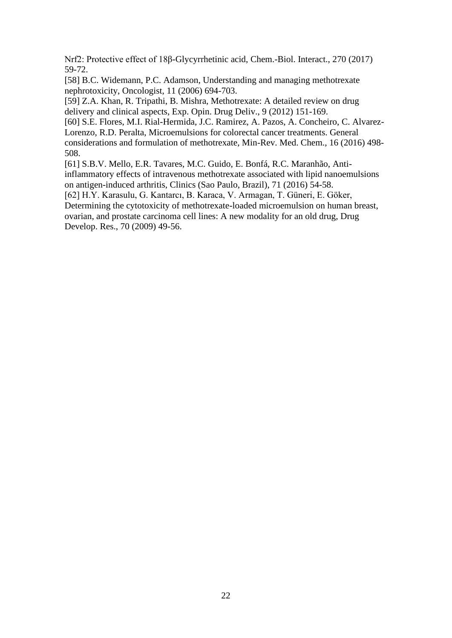Nrf2: Protective effect of 18β-Glycyrrhetinic acid, Chem.-Biol. Interact., 270 (2017) 59-72.

[58] B.C. Widemann, P.C. Adamson, Understanding and managing methotrexate nephrotoxicity, Oncologist, 11 (2006) 694-703.

[59] Z.A. Khan, R. Tripathi, B. Mishra, Methotrexate: A detailed review on drug delivery and clinical aspects, Exp. Opin. Drug Deliv., 9 (2012) 151-169.

[60] S.E. Flores, M.I. Rial-Hermida, J.C. Ramirez, A. Pazos, A. Concheiro, C. Alvarez-Lorenzo, R.D. Peralta, Microemulsions for colorectal cancer treatments. General considerations and formulation of methotrexate, Min-Rev. Med. Chem., 16 (2016) 498- 508.

[61] S.B.V. Mello, E.R. Tavares, M.C. Guido, E. Bonfá, R.C. Maranhão, Antiinflammatory effects of intravenous methotrexate associated with lipid nanoemulsions on antigen-induced arthritis, Clinics (Sao Paulo, Brazil), 71 (2016) 54-58.

[62] H.Y. Karasulu, G. Kantarcı, B. Karaca, V. Armagan, T. Güneri, E. Göker, Determining the cytotoxicity of methotrexate-loaded microemulsion on human breast, ovarian, and prostate carcinoma cell lines: A new modality for an old drug, Drug Develop. Res., 70 (2009) 49-56.